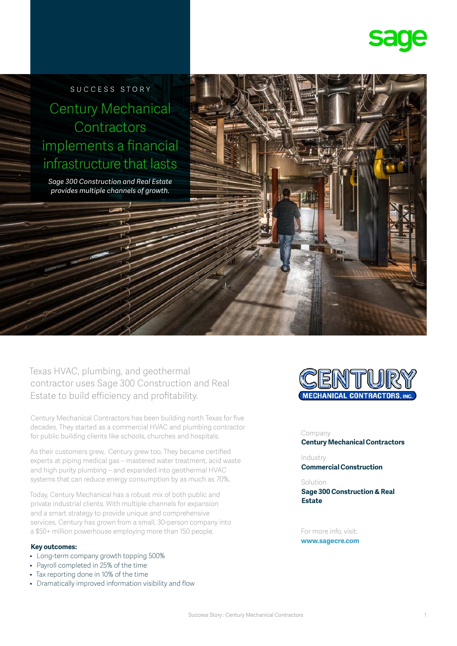

SUCCESS STORY Century Mechanical **Contractors** implements a financial infrastructure that lasts

*Sage 300 Construction and Real Estate provides multiple channels of growth.*



Texas HVAC, plumbing, and geothermal contractor uses Sage 300 Construction and Real Estate to build efficiency and profitability.

Century Mechanical Contractors has been building north Texas for five decades. They started as a commercial HVAC and plumbing contractor for public building clients like schools, churches and hospitals.

As their customers grew, Century grew too. They became certified experts at piping medical gas – mastered water treatment, acid waste and high purity plumbing – and expanded into geothermal HVAC systems that can reduce energy consumption by as much as 70%.

Today, Century Mechanical has a robust mix of both public and private industrial clients. With multiple channels for expansion and a smart strategy to provide unique and comprehensive services, Century has grown from a small, 30-person company into a \$50+ million powerhouse employing more than 150 people.

#### **Key outcomes:**

- Long-term company growth topping 500%
- Payroll completed in 25% of the time
- Tax reporting done in 10% of the time
- Dramatically improved information visibility and flow



Company **Century Mechanical Contractors**

Industry **Commercial Construction**

# Solution

**Sage 300 Construction & Real Estate**

For more info, visit: **www.sagecre.com**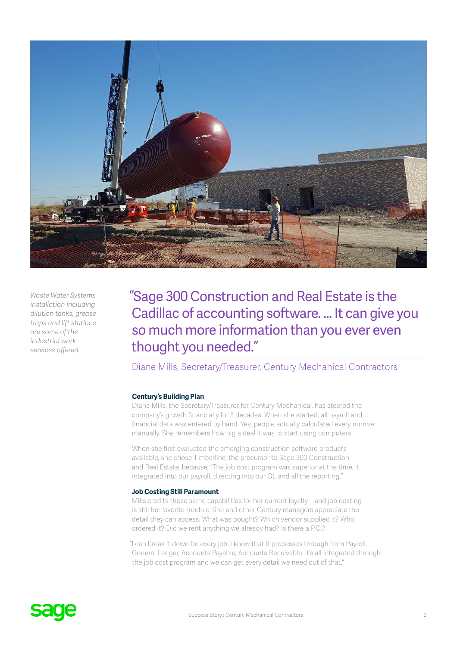

*Waste Water Systems installation including dilution tanks, grease traps and lift stations are some of the industrial work services offered.*

"Sage 300 Construction and Real Estate is the Cadillac of accounting software. … It can give you so much more information than you ever even thought you needed."

Diane Mills, Secretary/Treasurer, Century Mechanical Contractors

#### **Century's Building Plan**

Diane Mills, the Secretary/Treasurer for Century Mechanical, has steered the company's growth financially for 3 decades. When she started, all payroll and financial data was entered by hand. Yes, people actually calculated every number manually. She remembers how big a deal it was to start using computers.

When she first evaluated the emerging construction software products available, she chose Timberline, the precursor to Sage 300 Construction and Real Estate, because, "The job cost program was superior at the time. It integrated into our payroll, directing into our GL and all the reporting."

### **Job Costing Still Paramount**

Mills credits those same capabilities for her current loyalty – and job costing is still her favorite module. She and other Century managers appreciate the detail they can access. What was bought? Which vendor supplied it? Who ordered it? Did we rent anything we already had? Is there a P.O.?

"I can break it down for every job. I know that it processes through from Payroll, General Ledger, Accounts Payable, Accounts Receivable. It's all integrated through the job cost program and we can get every detail we need out of that."

# **SdUE**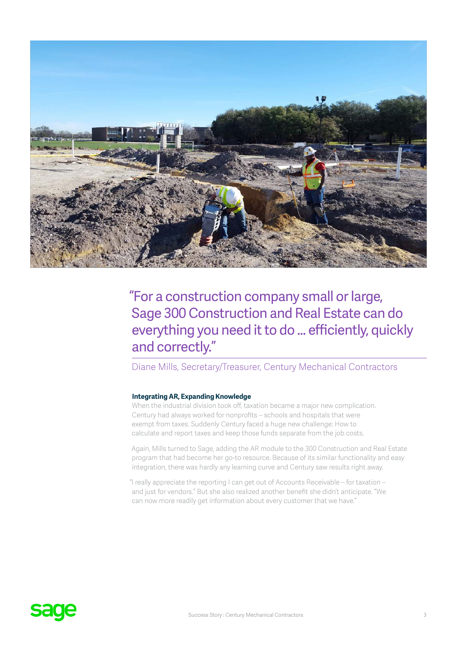

# "For a construction company small or large, Sage 300 Construction and Real Estate can do everything you need it to do … efficiently, quickly and correctly."

# Diane Mills, Secretary/Treasurer, Century Mechanical Contractors

## **Integrating AR, Expanding Knowledge**

When the industrial division took off, taxation became a major new complication. Century had always worked for nonprofits – schools and hospitals that were exempt from taxes. Suddenly Century faced a huge new challenge: How to calculate and report taxes and keep those funds separate from the job costs.

Again, Mills turned to Sage, adding the AR module to the 300 Construction and Real Estate program that had become her go-to resource. Because of its similar functionality and easy integration, there was hardly any learning curve and Century saw results right away.

"I really appreciate the reporting I can get out of Accounts Receivable – for taxation – and just for vendors." But she also realized another benefit she didn't anticipate. "We can now more readily get information about every customer that we have."

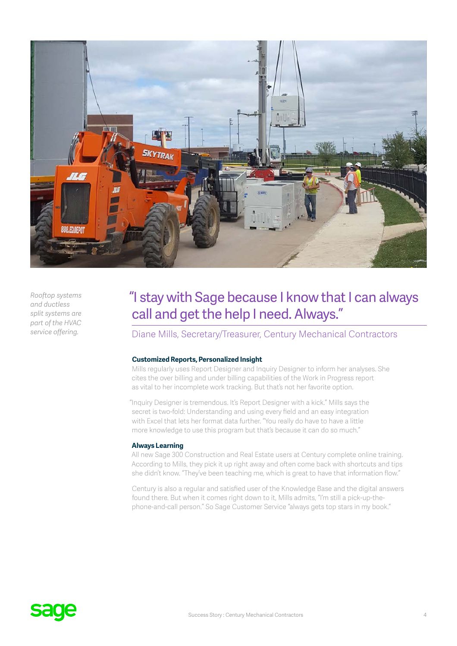

*Rooftop systems and ductless split systems are part of the HVAC service offering.*

# "I stay with Sage because I know that I can always call and get the help I need. Always."

Diane Mills, Secretary/Treasurer, Century Mechanical Contractors

### **Customized Reports, Personalized Insight**

Mills regularly uses Report Designer and Inquiry Designer to inform her analyses. She cites the over billing and under billing capabilities of the Work in Progress report as vital to her incomplete work tracking. But that's not her favorite option.

"Inquiry Designer is tremendous. It's Report Designer with a kick." Mills says the secret is two-fold: Understanding and using every field and an easy integration with Excel that lets her format data further. "You really do have to have a little more knowledge to use this program but that's because it can do so much."

#### **Always Learning**

All new Sage 300 Construction and Real Estate users at Century complete online training. According to Mills, they pick it up right away and often come back with shortcuts and tips she didn't know. "They've been teaching me, which is great to have that information flow."

Century is also a regular and satisfied user of the Knowledge Base and the digital answers found there. But when it comes right down to it, Mills admits, "I'm still a pick-up-thephone-and-call person." So Sage Customer Service "always gets top stars in my book."